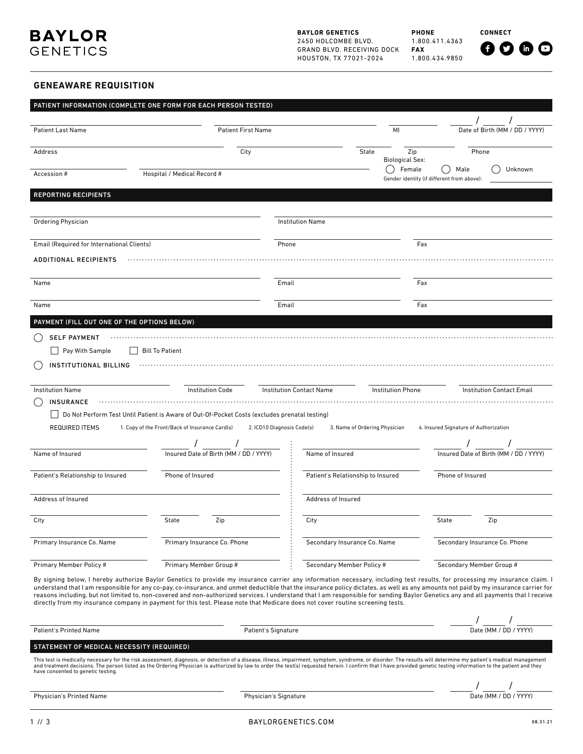**PHONE** 1.800.411.4363 **FAX** 1.800.434.9850

**CONNECT**

 $0000$ 

# **GENEAWARE REQUISITION**

|                                             | PATIENT INFORMATION (COMPLETE ONE FORM FOR EACH PERSON TESTED)                                                                                                                                                                                                                                                                                                                                                                                                                                                                                                                                                                                                                              |                                   |                               |                                                               |  |
|---------------------------------------------|---------------------------------------------------------------------------------------------------------------------------------------------------------------------------------------------------------------------------------------------------------------------------------------------------------------------------------------------------------------------------------------------------------------------------------------------------------------------------------------------------------------------------------------------------------------------------------------------------------------------------------------------------------------------------------------------|-----------------------------------|-------------------------------|---------------------------------------------------------------|--|
| <b>Patient Last Name</b>                    | <b>Patient First Name</b>                                                                                                                                                                                                                                                                                                                                                                                                                                                                                                                                                                                                                                                                   |                                   | MI                            | Date of Birth (MM / DD / YYYY)                                |  |
| Address                                     | City<br>State                                                                                                                                                                                                                                                                                                                                                                                                                                                                                                                                                                                                                                                                               |                                   | Zip<br><b>Biological Sex:</b> | Phone                                                         |  |
| Accession #                                 | Hospital / Medical Record #                                                                                                                                                                                                                                                                                                                                                                                                                                                                                                                                                                                                                                                                 |                                   | Female<br>( )                 | Unknown<br>Male<br>Gender identity (if different from above): |  |
| <b>REPORTING RECIPIENTS</b>                 |                                                                                                                                                                                                                                                                                                                                                                                                                                                                                                                                                                                                                                                                                             |                                   |                               |                                                               |  |
| Ordering Physician                          |                                                                                                                                                                                                                                                                                                                                                                                                                                                                                                                                                                                                                                                                                             | <b>Institution Name</b>           |                               |                                                               |  |
| Email (Required for International Clients)  |                                                                                                                                                                                                                                                                                                                                                                                                                                                                                                                                                                                                                                                                                             | Phone                             | Fax                           |                                                               |  |
| <b>ADDITIONAL RECIPIENTS</b>                |                                                                                                                                                                                                                                                                                                                                                                                                                                                                                                                                                                                                                                                                                             |                                   |                               |                                                               |  |
| Name                                        |                                                                                                                                                                                                                                                                                                                                                                                                                                                                                                                                                                                                                                                                                             | Email                             | Fax                           |                                                               |  |
| Name                                        |                                                                                                                                                                                                                                                                                                                                                                                                                                                                                                                                                                                                                                                                                             | Email                             | Fax                           |                                                               |  |
| PAYMENT (FILL OUT ONE OF THE OPTIONS BELOW) |                                                                                                                                                                                                                                                                                                                                                                                                                                                                                                                                                                                                                                                                                             |                                   |                               |                                                               |  |
| <b>SELF PAYMENT</b>                         |                                                                                                                                                                                                                                                                                                                                                                                                                                                                                                                                                                                                                                                                                             |                                   |                               |                                                               |  |
| Pay With Sample                             | <b>Bill To Patient</b>                                                                                                                                                                                                                                                                                                                                                                                                                                                                                                                                                                                                                                                                      |                                   |                               |                                                               |  |
|                                             |                                                                                                                                                                                                                                                                                                                                                                                                                                                                                                                                                                                                                                                                                             |                                   |                               |                                                               |  |
| <b>INSTITUTIONAL BILLING</b>                |                                                                                                                                                                                                                                                                                                                                                                                                                                                                                                                                                                                                                                                                                             |                                   |                               |                                                               |  |
| <b>Institution Name</b>                     | <b>Institution Code</b>                                                                                                                                                                                                                                                                                                                                                                                                                                                                                                                                                                                                                                                                     | <b>Institution Contact Name</b>   | <b>Institution Phone</b>      | <b>Institution Contact Email</b>                              |  |
| <b>INSURANCE</b>                            |                                                                                                                                                                                                                                                                                                                                                                                                                                                                                                                                                                                                                                                                                             |                                   |                               |                                                               |  |
|                                             | Do Not Perform Test Until Patient is Aware of Out-Of-Pocket Costs (excludes prenatal testing)                                                                                                                                                                                                                                                                                                                                                                                                                                                                                                                                                                                               |                                   |                               |                                                               |  |
| <b>REQUIRED ITEMS</b>                       | 1. Copy of the Front/Back of Insurance Card(s)<br>2. ICD10 Diagnosis Code(s)                                                                                                                                                                                                                                                                                                                                                                                                                                                                                                                                                                                                                | 3. Name of Ordering Physician     |                               | 4. Insured Signature of Authorization                         |  |
|                                             |                                                                                                                                                                                                                                                                                                                                                                                                                                                                                                                                                                                                                                                                                             |                                   |                               |                                                               |  |
| Name of Insured                             | Insured Date of Birth (MM / DD / YYYY)                                                                                                                                                                                                                                                                                                                                                                                                                                                                                                                                                                                                                                                      | Name of Insured                   |                               | Insured Date of Birth (MM / DD / YYYY)                        |  |
|                                             |                                                                                                                                                                                                                                                                                                                                                                                                                                                                                                                                                                                                                                                                                             |                                   |                               |                                                               |  |
| Patient's Relationship to Insured           | Phone of Insured                                                                                                                                                                                                                                                                                                                                                                                                                                                                                                                                                                                                                                                                            | Patient's Relationship to Insured |                               | Phone of Insured                                              |  |
| Address of Insured                          |                                                                                                                                                                                                                                                                                                                                                                                                                                                                                                                                                                                                                                                                                             | Address of Insured                |                               |                                                               |  |
| City                                        | <b>State</b><br>Zip                                                                                                                                                                                                                                                                                                                                                                                                                                                                                                                                                                                                                                                                         | City                              |                               | Zip<br>State                                                  |  |
| Primary Insurance Co. Name                  | Primary Insurance Co. Phone                                                                                                                                                                                                                                                                                                                                                                                                                                                                                                                                                                                                                                                                 | Secondary Insurance Co. Name      |                               | Secondary Insurance Co. Phone                                 |  |
| Primary Member Policy #                     | Primary Member Group #                                                                                                                                                                                                                                                                                                                                                                                                                                                                                                                                                                                                                                                                      | Secondary Member Policy #         |                               | Secondary Member Group #                                      |  |
|                                             | By signing below, I hereby authorize Baylor Genetics to provide my insurance carrier any information necessary, including test results, for processing my insurance claim. I<br>understand that I am responsible for any co-pay, co-insurance, and unmet deductible that the insurance policy dictates, as well as any amounts not paid by my insurance carrier for<br>reasons including, but not limited to, non-covered and non-authorized services. I understand that I am responsible for sending Baylor Genetics any and all payments that I receive<br>directly from my insurance company in payment for this test. Please note that Medicare does not cover routine screening tests. |                                   |                               |                                                               |  |
|                                             |                                                                                                                                                                                                                                                                                                                                                                                                                                                                                                                                                                                                                                                                                             |                                   |                               |                                                               |  |
| <b>Patient's Printed Name</b>               | Patient's Signature                                                                                                                                                                                                                                                                                                                                                                                                                                                                                                                                                                                                                                                                         |                                   |                               | Date (MM / DD / YYYY)                                         |  |
| STATEMENT OF MEDICAL NECESSITY (REQUIRED)   |                                                                                                                                                                                                                                                                                                                                                                                                                                                                                                                                                                                                                                                                                             |                                   |                               |                                                               |  |
| have consented to genetic testing.          | This test is medically necessary for the risk assessment, diagnosis, or detection of a disease, illness, impairment, symptom, syndrome, or disorder. The results will determine my patient's medical management<br>and treatment decisions. The person listed as the Ordering Physician is authorized by law to order the test(s) requested herein. I confirm that I have provided genetic testing information to the patient and they                                                                                                                                                                                                                                                      |                                   |                               |                                                               |  |
|                                             |                                                                                                                                                                                                                                                                                                                                                                                                                                                                                                                                                                                                                                                                                             |                                   |                               |                                                               |  |
| Physician's Printed Name                    | Physician's Signature                                                                                                                                                                                                                                                                                                                                                                                                                                                                                                                                                                                                                                                                       |                                   |                               | Date (MM / DD / YYYY)                                         |  |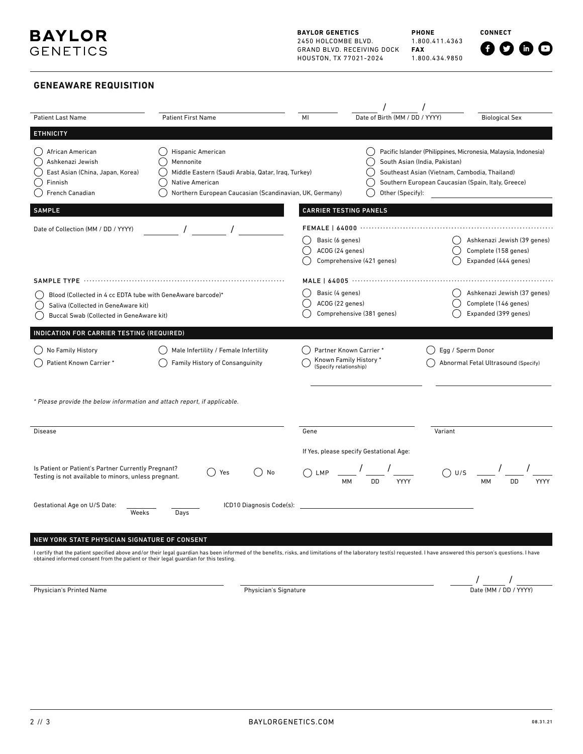**BAYLOR GENETICS** 2450 HOLCOMBE BLVD. GRAND BLVD. RECEIVING DOCK HOUSTON, TX 77021-2024

**PHONE** 1.800.411.4363 **FAX** 1.800.434.9850 **CONNECT**

# **GENEAWARE REQUISITION**

| <b>Patient Last Name</b>                                                                                                                       | <b>Patient First Name</b>                                                                                                                                                                                             | Date of Birth (MM / DD / YYYY)<br>MI                                                                                                           | <b>Biological Sex</b>                                                                                                                                                                                   |
|------------------------------------------------------------------------------------------------------------------------------------------------|-----------------------------------------------------------------------------------------------------------------------------------------------------------------------------------------------------------------------|------------------------------------------------------------------------------------------------------------------------------------------------|---------------------------------------------------------------------------------------------------------------------------------------------------------------------------------------------------------|
| <b>ETHNICITY</b>                                                                                                                               |                                                                                                                                                                                                                       |                                                                                                                                                |                                                                                                                                                                                                         |
| African American<br>Ashkenazi Jewish<br>East Asian (China, Japan, Korea)<br>Finnish<br>French Canadian                                         | <b>Hispanic American</b><br>Mennonite<br>Middle Eastern (Saudi Arabia, Qatar, Iraq, Turkey)<br>Native American<br>Northern European Caucasian (Scandinavian, UK, Germany)                                             | Other (Specify):                                                                                                                               | Pacific Islander (Philippines, Micronesia, Malaysia, Indonesia)<br>South Asian (India, Pakistan)<br>Southeast Asian (Vietnam, Cambodia, Thailand)<br>Southern European Caucasian (Spain, Italy, Greece) |
| <b>SAMPLE</b>                                                                                                                                  |                                                                                                                                                                                                                       | <b>CARRIER TESTING PANELS</b>                                                                                                                  |                                                                                                                                                                                                         |
| Date of Collection (MM / DD / YYYY)                                                                                                            |                                                                                                                                                                                                                       | <b>FEMALE   64000</b>                                                                                                                          |                                                                                                                                                                                                         |
|                                                                                                                                                |                                                                                                                                                                                                                       | Basic (6 genes)<br>ACOG (24 genes)<br>Comprehensive (421 genes)                                                                                | Ashkenazi Jewish (39 genes)<br>Complete (158 genes)<br>Expanded (444 genes)                                                                                                                             |
|                                                                                                                                                | SAMPLE TYPE ……………………………………………………………………                                                                                                                                                                                |                                                                                                                                                |                                                                                                                                                                                                         |
| Blood (Collected in 4 cc EDTA tube with GeneAware barcode)*<br>Saliva (Collected in GeneAware kit)<br>Buccal Swab (Collected in GeneAware kit) |                                                                                                                                                                                                                       | Basic (4 genes)<br>Ashkenazi Jewish (37 genes)<br>ACOG (22 genes)<br>Complete (146 genes)<br>Comprehensive (381 genes)<br>Expanded (399 genes) |                                                                                                                                                                                                         |
| INDICATION FOR CARRIER TESTING (REQUIRED)                                                                                                      |                                                                                                                                                                                                                       |                                                                                                                                                |                                                                                                                                                                                                         |
| No Family History<br>Patient Known Carrier*                                                                                                    | Male Infertility / Female Infertility<br>Family History of Consanguinity                                                                                                                                              | Partner Known Carrier *<br>Known Family History *<br>(Specify relationship)                                                                    | Egg / Sperm Donor<br>Abnormal Fetal Ultrasound (Specify)                                                                                                                                                |
| * Please provide the below information and attach report, if applicable.                                                                       |                                                                                                                                                                                                                       |                                                                                                                                                |                                                                                                                                                                                                         |
| <b>Disease</b>                                                                                                                                 |                                                                                                                                                                                                                       | Gene                                                                                                                                           | Variant                                                                                                                                                                                                 |
|                                                                                                                                                |                                                                                                                                                                                                                       | If Yes, please specify Gestational Age:                                                                                                        |                                                                                                                                                                                                         |
| Is Patient or Patient's Partner Currently Pregnant?<br>Testing is not available to minors, unless pregnant.                                    | ) No<br>Yes                                                                                                                                                                                                           | DD.<br>YYYY                                                                                                                                    | U/S<br>DD<br>YYYY                                                                                                                                                                                       |
| Gestational Age on U/S Date:<br>Weeks                                                                                                          | ICD10 Diagnosis Code(s):<br>Days                                                                                                                                                                                      |                                                                                                                                                |                                                                                                                                                                                                         |
| NEW YORK STATE PHYSICIAN SIGNATURE OF CONSENT                                                                                                  |                                                                                                                                                                                                                       |                                                                                                                                                |                                                                                                                                                                                                         |
|                                                                                                                                                | I certify that the patient specified above and/or their legal guardian has been informed of the benefits, risks, and limitations of the laboratory test(s) requested. I have answered this person's questions. I have |                                                                                                                                                |                                                                                                                                                                                                         |
| obtained informed consent from the patient or their legal guardian for this testing.                                                           |                                                                                                                                                                                                                       |                                                                                                                                                |                                                                                                                                                                                                         |

Physician's Printed Name **Physician's Signature** Physician's Signature

 $\frac{\displaystyle}{\displaystyle\int_{\text{Date}} \frac{\displaystyle}{\displaystyle\left(\text{MM} \mathop{/} \text{DD} \mathop{/} \text{YYYY}\right)}}$